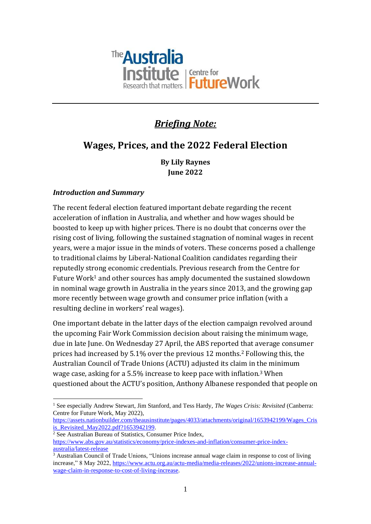

# *Briefing Note:*

# **Wages, Prices, and the 2022 Federal Election**

**By Lily Raynes June 2022**

#### *Introduction and Summary*

The recent federal election featured important debate regarding the recent acceleration of inflation in Australia, and whether and how wages should be boosted to keep up with higher prices. There is no doubt that concerns over the rising cost of living, following the sustained stagnation of nominal wages in recent years, were a major issue in the minds of voters. These concerns posed a challenge to traditional claims by Liberal-National Coalition candidates regarding their reputedly strong economic credentials. Previous research from the Centre for Future Work<sup>1</sup> and other sources has amply documented the sustained slowdown in nominal wage growth in Australia in the years since 2013, and the growing gap more recently between wage growth and consumer price inflation (with a resulting decline in workers' real wages).

One important debate in the latter days of the election campaign revolved around the upcoming Fair Work Commission decision about raising the minimum wage, due in late June. On Wednesday 27 April, the ABS reported that average consumer prices had increased by 5.1% over the previous 12 months. <sup>2</sup> Following this, the Australian Council of Trade Unions (ACTU) adjusted its claim in the minimum wage case, asking for a 5.5% increase to keep pace with inflation.<sup>3</sup> When questioned about the ACTU's position, Anthony Albanese responded that people on

[https://assets.nationbuilder.com/theausinstitute/pages/4033/attachments/original/1653942199/Wages\\_Cris](https://assets.nationbuilder.com/theausinstitute/pages/4033/attachments/original/1653942199/Wages_Crisis_Revisited_May2022.pdf?1653942199) [is\\_Revisited\\_May2022.pdf?1653942199.](https://assets.nationbuilder.com/theausinstitute/pages/4033/attachments/original/1653942199/Wages_Crisis_Revisited_May2022.pdf?1653942199)

<sup>2</sup> See Australian Bureau of Statistics, Consumer Price Index,

<sup>&</sup>lt;sup>1</sup> See especially Andrew Stewart, Jim Stanford, and Tess Hardy, *The Wages Crisis: Revisited* (Canberra: Centre for Future Work, May 2022),

[https://www.abs.gov.au/statistics/economy/price-indexes-and-inflation/consumer-price-index](https://www.abs.gov.au/statistics/economy/price-indexes-and-inflation/consumer-price-index-australia/latest-release)[australia/latest-release](https://www.abs.gov.au/statistics/economy/price-indexes-and-inflation/consumer-price-index-australia/latest-release)

<sup>3</sup> Australian Council of Trade Unions, "Unions increase annual wage claim in response to cost of living increase," 8 May 2022[, https://www.actu.org.au/actu-media/media-releases/2022/unions-increase-annual](https://www.actu.org.au/actu-media/media-releases/2022/unions-increase-annual-wage-claim-in-response-to-cost-of-living-increase)[wage-claim-in-response-to-cost-of-living-increase.](https://www.actu.org.au/actu-media/media-releases/2022/unions-increase-annual-wage-claim-in-response-to-cost-of-living-increase)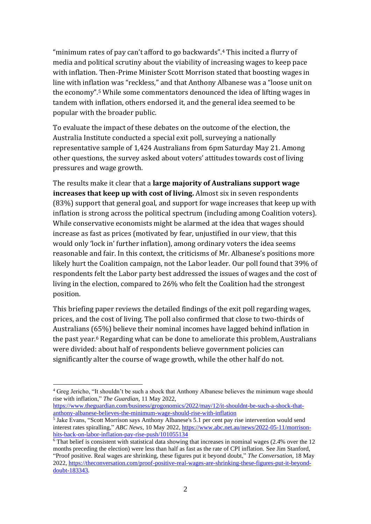"minimum rates of pay can't afford to go backwards".<sup>4</sup> This incited a flurry of media and political scrutiny about the viability of increasing wages to keep pace with inflation. Then-Prime Minister Scott Morrison stated that boosting wages in line with inflation was "reckless," and that Anthony Albanese was a "loose unit on the economy".<sup>5</sup> While some commentators denounced the idea of lifting wages in tandem with inflation, others endorsed it, and the general idea seemed to be popular with the broader public.

To evaluate the impact of these debates on the outcome of the election, the Australia Institute conducted a special exit poll, surveying a nationally representative sample of 1,424 Australians from 6pm Saturday May 21. Among other questions, the survey asked about voters' attitudes towards cost of living pressures and wage growth.

The results make it clear that a **large majority of Australians support wage increases that keep up with cost of living.** Almost six in seven respondents (83%) support that general goal, and support for wage increases that keep up with inflation is strong across the political spectrum (including among Coalition voters). While conservative economists might be alarmed at the idea that wages should increase as fast as prices (motivated by fear, unjustified in our view, that this would only 'lock in' further inflation), among ordinary voters the idea seems reasonable and fair. In this context, the criticisms of Mr. Albanese's positions more likely hurt the Coalition campaign, not the Labor leader. Our poll found that 39% of respondents felt the Labor party best addressed the issues of wages and the cost of living in the election, compared to 26% who felt the Coalition had the strongest position.

This briefing paper reviews the detailed findings of the exit poll regarding wages, prices, and the cost of living. The poll also confirmed that close to two-thirds of Australians (65%) believe their nominal incomes have lagged behind inflation in the past year.<sup>6</sup> Regarding what can be done to ameliorate this problem, Australians were divided: about half of respondents believe government policies can significantly alter the course of wage growth, while the other half do not.

<sup>4</sup> Greg Jericho, "It shouldn't be such a shock that Anthony Albanese believes the minimum wage should rise with inflation," *The Guardian*, 11 May 2022,

[https://www.theguardian.com/business/grogonomics/2022/may/12/it-shouldnt-be-such-a-shock-that](https://www.theguardian.com/business/grogonomics/2022/may/12/it-shouldnt-be-such-a-shock-that-anthony-albanese-believes-the-minimum-wage-should-rise-with-inflation)[anthony-albanese-believes-the-minimum-wage-should-rise-with-inflation](https://www.theguardian.com/business/grogonomics/2022/may/12/it-shouldnt-be-such-a-shock-that-anthony-albanese-believes-the-minimum-wage-should-rise-with-inflation)

<sup>&</sup>lt;sup>5</sup> Jake Evans, "Scott Morrison says Anthony Albanese's 5.1 per cent pay rise intervention would send interest rates spiralling," *ABC News*, 10 May 2022, [https://www.abc.net.au/news/2022-05-11/morrison](https://www.abc.net.au/news/2022-05-11/morrison-hits-back-on-labor-inflation-pay-rise-push/101055134)[hits-back-on-labor-inflation-pay-rise-push/101055134](https://www.abc.net.au/news/2022-05-11/morrison-hits-back-on-labor-inflation-pay-rise-push/101055134)

 $\overline{6}$  That belief is consistent with statistical data showing that increases in nominal wages (2.4% over the 12 months preceding the election) were less than half as fast as the rate of CPI inflation. See Jim Stanford, "Proof positive. Real wages are shrinking, these figures put it beyond doubt," *The Conversation*, 18 May 2022, [https://theconversation.com/proof-positive-real-wages-are-shrinking-these-figures-put-it-beyond](https://theconversation.com/proof-positive-real-wages-are-shrinking-these-figures-put-it-beyond-doubt-183343)[doubt-183343.](https://theconversation.com/proof-positive-real-wages-are-shrinking-these-figures-put-it-beyond-doubt-183343)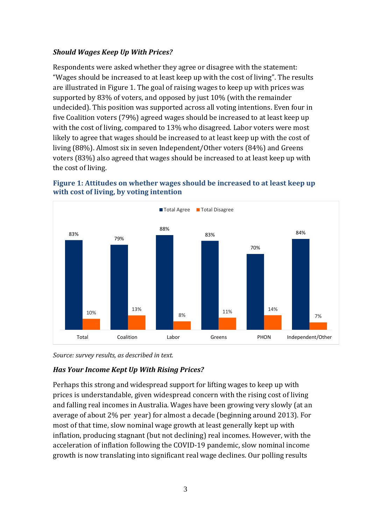#### *Should Wages Keep Up With Prices?*

Respondents were asked whether they agree or disagree with the statement: "Wages should be increased to at least keep up with the cost of living". The results are illustrated in Figure 1. The goal of raising wages to keep up with prices was supported by 83% of voters, and opposed by just 10% (with the remainder undecided). This position was supported across all voting intentions. Even four in five Coalition voters (79%) agreed wages should be increased to at least keep up with the cost of living, compared to 13% who disagreed. Labor voters were most likely to agree that wages should be increased to at least keep up with the cost of living (88%). Almost six in seven Independent/Other voters (84%) and Greens voters (83%) also agreed that wages should be increased to at least keep up with the cost of living.





*Source: survey results, as described in text.*

# *Has Your Income Kept Up With Rising Prices?*

Perhaps this strong and widespread support for lifting wages to keep up with prices is understandable, given widespread concern with the rising cost of living and falling real incomes in Australia. Wages have been growing very slowly (at an average of about 2% per year) for almost a decade (beginning around 2013). For most of that time, slow nominal wage growth at least generally kept up with inflation, producing stagnant (but not declining) real incomes. However, with the acceleration of inflation following the COVID-19 pandemic, slow nominal income growth is now translating into significant real wage declines. Our polling results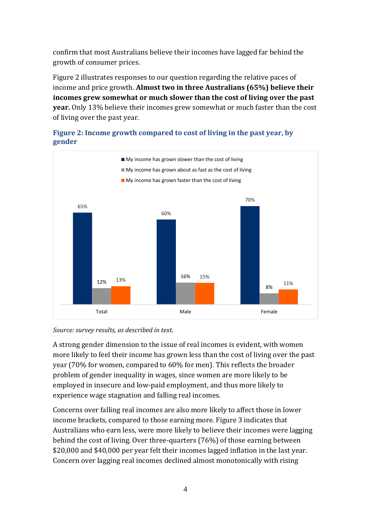confirm that most Australians believe their incomes have lagged far behind the growth of consumer prices.

Figure 2 illustrates responses to our question regarding the relative paces of income and price growth. **Almost two in three Australians (65%) believe their incomes grew somewhat or much slower than the cost of living over the past year.** Only 13% believe their incomes grew somewhat or much faster than the cost of living over the past year.



# **Figure 2: Income growth compared to cost of living in the past year, by gender**

#### *Source: survey results, as described in text.*

A strong gender dimension to the issue of real incomes is evident, with women more likely to feel their income has grown less than the cost of living over the past year (70% for women, compared to 60% for men). This reflects the broader problem of gender inequality in wages, since women are more likely to be employed in insecure and low-paid employment, and thus more likely to experience wage stagnation and falling real incomes.

Concerns over falling real incomes are also more likely to affect those in lower income brackets, compared to those earning more. Figure 3 indicates that Australians who earn less, were more likely to believe their incomes were lagging behind the cost of living. Over three-quarters (76%) of those earning between \$20,000 and \$40,000 per year felt their incomes lagged inflation in the last year. Concern over lagging real incomes declined almost monotonically with rising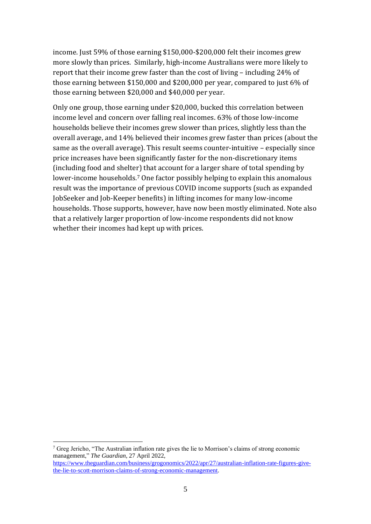income. Just 59% of those earning \$150,000-\$200,000 felt their incomes grew more slowly than prices. Similarly, high-income Australians were more likely to report that their income grew faster than the cost of living – including 24% of those earning between \$150,000 and \$200,000 per year, compared to just 6% of those earning between \$20,000 and \$40,000 per year.

Only one group, those earning under \$20,000, bucked this correlation between income level and concern over falling real incomes. 63% of those low-income households believe their incomes grew slower than prices, slightly less than the overall average, and 14% believed their incomes grew faster than prices (about the same as the overall average). This result seems counter-intuitive – especially since price increases have been significantly faster for the non-discretionary items (including food and shelter) that account for a larger share of total spending by lower-income households.<sup>7</sup> One factor possibly helping to explain this anomalous result was the importance of previous COVID income supports (such as expanded JobSeeker and Job-Keeper benefits) in lifting incomes for many low-income households. Those supports, however, have now been mostly eliminated. Note also that a relatively larger proportion of low-income respondents did not know whether their incomes had kept up with prices.

<sup>7</sup> Greg Jericho, "The Australian inflation rate gives the lie to Morrison's claims of strong economic management," *The Guardian*, 27 April 2022, [https://www.theguardian.com/business/grogonomics/2022/apr/27/australian-inflation-rate-figures-give-](https://www.theguardian.com/business/grogonomics/2022/apr/27/australian-inflation-rate-figures-give-the-lie-to-scott-morrison-claims-of-strong-economic-management)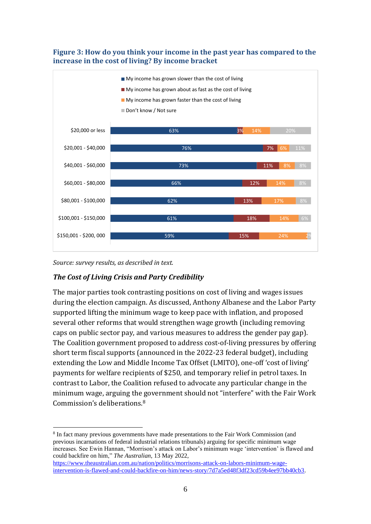#### **Figure 3: How do you think your income in the past year has compared to the increase in the cost of living? By income bracket**



*Source: survey results, as described in text.*

#### *The Cost of Living Crisis and Party Credibility*

The major parties took contrasting positions on cost of living and wages issues during the election campaign. As discussed, Anthony Albanese and the Labor Party supported lifting the minimum wage to keep pace with inflation, and proposed several other reforms that would strengthen wage growth (including removing caps on public sector pay, and various measures to address the gender pay gap). The Coalition government proposed to address cost-of-living pressures by offering short term fiscal supports (announced in the 2022-23 federal budget), including extending the Low and Middle Income Tax Offset (LMITO), one-off 'cost of living' payments for welfare recipients of \$250, and temporary relief in petrol taxes. In contrast to Labor, the Coalition refused to advocate any particular change in the minimum wage, arguing the government should not "interfere" with the Fair Work Commission's deliberations.<sup>8</sup>

<sup>8</sup> [In](https://www.abc.net.au/news/2022-05-11/morrison-hits-back-on-labor-inflation-pay-rise-push/101055134) fact many previous governments have made presentations to the Fair Work Commission (and previous incarnations of federal industrial relations tribunals) arguing for specific minimum wage increases. See Ewin Hannan, "Morrison's attack on Labor's minimum wage 'intervention' is flawed and could backfire on him," *The Australian*, 13 May 2022,

[https://www.theaustralian.com.au/nation/politics/morrisons-attack-on-labors-minimum-wage](https://www.theaustralian.com.au/nation/politics/morrisons-attack-on-labors-minimum-wage-intervention-is-flawed-and-could-backfire-on-him/news-story/7d7a5ed48f3df23cd59b4ee97bb40cb3)[intervention-is-flawed-and-could-backfire-on-him/news-story/7d7a5ed48f3df23cd59b4ee97bb40cb3.](https://www.theaustralian.com.au/nation/politics/morrisons-attack-on-labors-minimum-wage-intervention-is-flawed-and-could-backfire-on-him/news-story/7d7a5ed48f3df23cd59b4ee97bb40cb3)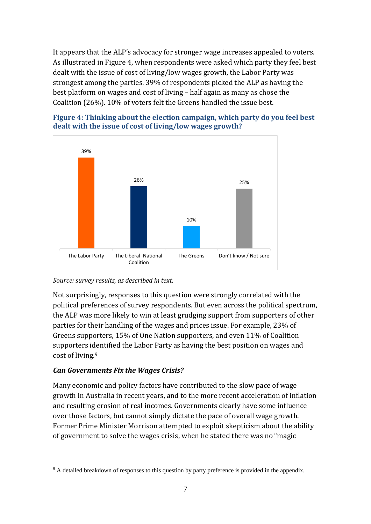It appears that the ALP's advocacy for stronger wage increases appealed to voters. As illustrated in Figure 4, when respondents were asked which party they feel best dealt with the issue of cost of living/low wages growth, the Labor Party was strongest among the parties. 39% of respondents picked the ALP as having the best platform on wages and cost of living – half again as many as chose the Coalition (26%). 10% of voters felt the Greens handled the issue best.





*Source: survey results, as described in text.*

Not surprisingly, responses to this question were strongly correlated with the political preferences of survey respondents. But even across the political spectrum, the ALP was more likely to win at least grudging support from supporters of other parties for their handling of the wages and prices issue. For example, 23% of Greens supporters, 15% of One Nation supporters, and even 11% of Coalition supporters identified the Labor Party as having the best position on wages and cost of living.<sup>9</sup>

#### *Can Governments Fix the Wages Crisis?*

Many economic and policy factors have contributed to the slow pace of wage growth in Australia in recent years, and to the more recent acceleration of inflation and resulting erosion of real incomes. Governments clearly have some influence over those factors, but cannot simply dictate the pace of overall wage growth. Former Prime Minister Morrison attempted to exploit skepticism about the ability of government to solve the wages crisis, when he stated there was no "magic

<sup>9</sup> A detailed breakdown of responses to this question by party preference is provided in the appendix.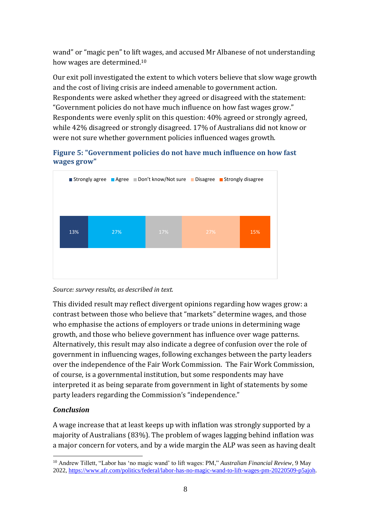wand" or "magic pen" to lift wages, and accused Mr Albanese of not understanding how wages are determined.<sup>10</sup>

Our exit poll investigated the extent to which voters believe that slow wage growth and the cost of living crisis are indeed amenable to government action. Respondents were asked whether they agreed or disagreed with the statement: "Government policies do not have much influence on how fast wages grow." Respondents were evenly split on this question: 40% agreed or strongly agreed, while 42% disagreed or strongly disagreed. 17% of Australians did not know or were not sure whether government policies influenced wages growth.







This divided result may reflect divergent opinions regarding how wages grow: a contrast between those who believe that "markets" determine wages, and those who emphasise the actions of employers or trade unions in determining wage growth, and those who believe government has influence over wage patterns. Alternatively, this result may also indicate a degree of confusion over the role of government in influencing wages, following exchanges between the party leaders over the independence of the Fair Work Commission. The Fair Work Commission, of course, is a governmental institution, but some respondents may have interpreted it as being separate from government in light of statements by some party leaders regarding the Commission's "independence."

# *Conclusion*

A wage increase that at least keeps up with inflation was strongly supported by a majority of Australians (83%). The problem of wages lagging behind inflation was a major concern for voters, and by a wide margin the ALP was seen as having dealt

<sup>10</sup> Andrew Tillett, "Labor has 'no magic wand' to lift wages: PM," *Australian Financial Review*, 9 May 2022, [https://www.afr.com/politics/federal/labor-has-no-magic-wand-to-lift-wages-pm-20220509-p5ajoh.](https://www.afr.com/politics/federal/labor-has-no-magic-wand-to-lift-wages-pm-20220509-p5ajoh)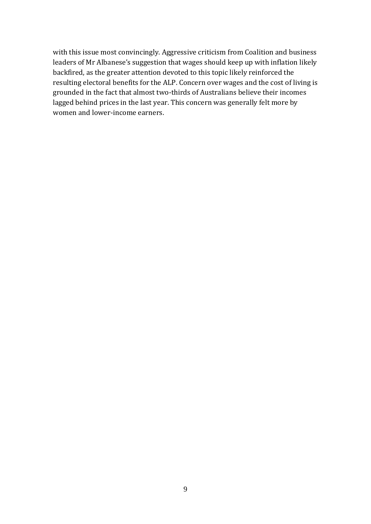with this issue most convincingly. Aggressive criticism from Coalition and business leaders of Mr Albanese's suggestion that wages should keep up with inflation likely backfired, as the greater attention devoted to this topic likely reinforced the resulting electoral benefits for the ALP. Concern over wages and the cost of living is grounded in the fact that almost two-thirds of Australians believe their incomes lagged behind prices in the last year. This concern was generally felt more by women and lower-income earners.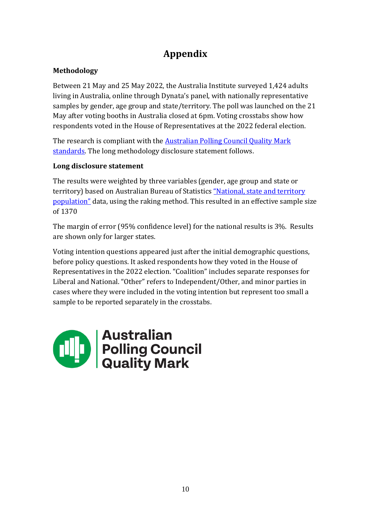# **Appendix**

# **Methodology**

Between 21 May and 25 May 2022, the Australia Institute surveyed 1,424 adults living in Australia, online through Dynata's panel, with nationally representative samples by gender, age group and state/territory. The poll was launched on the 21 May after voting booths in Australia closed at 6pm. Voting crosstabs show how respondents voted in the House of Representatives at the 2022 federal election.

The research is compliant with the **Australian Polling Council Quality Mark** [standards.](https://www.australianpollingcouncil.com/code-of-conduct) The long methodology disclosure statement follows.

# **Long disclosure statement**

The results were weighted by three variables (gender, age group and state or territory) based on Australian Bureau of Statistics "National, state and territory [population"](https://www.abs.gov.au/statistics/people/population/national-state-and-territory-population/latest-release) data, using the raking method. This resulted in an effective sample size of 1370

The margin of error (95% confidence level) for the national results is 3%. Results are shown only for larger states.

Voting intention questions appeared just after the initial demographic questions, before policy questions. It asked respondents how they voted in the House of Representatives in the 2022 election. "Coalition" includes separate responses for Liberal and National. "Other" refers to Independent/Other, and minor parties in cases where they were included in the voting intention but represent too small a sample to be reported separately in the crosstabs.

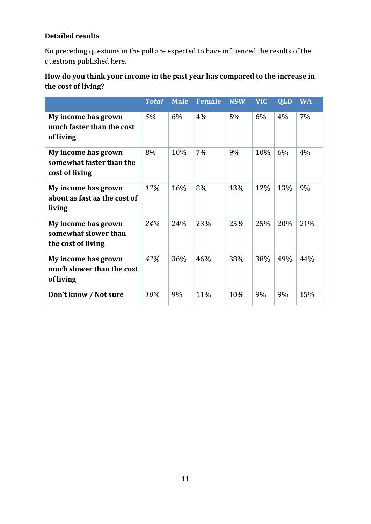# **Detailed results**

No preceding questions in the poll are expected to have influenced the results of the questions published here.

# **How do you think your income in the past year has compared to the increase in the cost of living?**

|                                                                   | <b>Total</b> | <b>Male</b> | <b>Female</b> | <b>NSW</b> | <b>VIC</b> | QLD | <b>WA</b> |
|-------------------------------------------------------------------|--------------|-------------|---------------|------------|------------|-----|-----------|
| My income has grown<br>much faster than the cost<br>of living     | 5%           | 6%          | 4%            | $5\%$      | $6\%$      | 4%  | $7\%$     |
| My income has grown<br>somewhat faster than the<br>cost of living | 8%           | 10%         | 7%            | 9%         | 10%        | 6%  | 4%        |
| My income has grown<br>about as fast as the cost of<br>living     | 12%          | 16%         | 8%            | 13%        | 12%        | 13% | 9%        |
| My income has grown<br>somewhat slower than<br>the cost of living | 24%          | 24%         | 23%           | 25%        | 25%        | 20% | 21%       |
| My income has grown<br>much slower than the cost<br>of living     | 42%          | 36%         | 46%           | 38%        | 38%        | 49% | 44%       |
| Don't know / Not sure                                             | 10%          | 9%          | 11%           | 10%        | 9%         | 9%  | 15%       |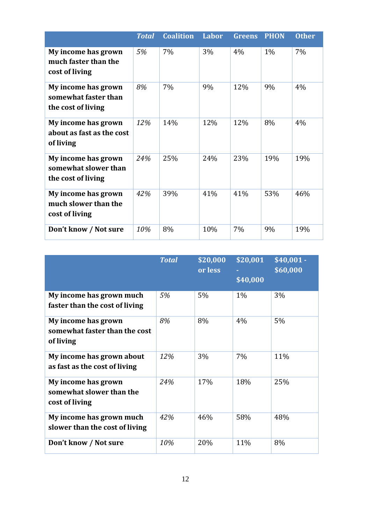|                                                                   | <b>Total</b> | <b>Coalition</b> | Labor | <b>Greens</b> | <b>PHON</b> | <b>Other</b> |
|-------------------------------------------------------------------|--------------|------------------|-------|---------------|-------------|--------------|
| My income has grown<br>much faster than the<br>cost of living     | 5%           | $7\%$            | 3%    | 4%            | $1\%$       | $7\%$        |
| My income has grown<br>somewhat faster than<br>the cost of living | 8%           | 7%               | 9%    | 12%           | 9%          | 4%           |
| My income has grown<br>about as fast as the cost<br>of living     | 12%          | 14%              | 12%   | 12%           | 8%          | 4%           |
| My income has grown<br>somewhat slower than<br>the cost of living | 24%          | 25%              | 24%   | 23%           | 19%         | 19%          |
| My income has grown<br>much slower than the<br>cost of living     | 42%          | 39%              | 41%   | 41%           | 53%         | 46%          |
| Don't know / Not sure                                             | 10%          | 8%               | 10%   | 7%            | 9%          | 19%          |

|                                                                   | <b>Total</b> | \$20,000<br>or less | \$20,001<br>\$40,000 | $\sqrt{540,001}$ -<br>\$60,000 |
|-------------------------------------------------------------------|--------------|---------------------|----------------------|--------------------------------|
| My income has grown much<br>faster than the cost of living        | 5%           | 5%                  | $1\%$                | 3%                             |
| My income has grown<br>somewhat faster than the cost<br>of living | 8%           | 8%                  | 4%                   | 5%                             |
| My income has grown about<br>as fast as the cost of living        | 12%          | 3%                  | 7%                   | 11%                            |
| My income has grown<br>somewhat slower than the<br>cost of living | 24%          | 17%                 | 18%                  | 25%                            |
| My income has grown much<br>slower than the cost of living        | 42%          | 46%                 | 58%                  | 48%                            |
| Don't know / Not sure                                             | 10%          | 20%                 | 11%                  | 8%                             |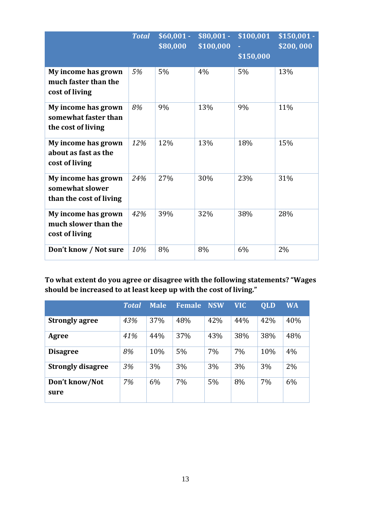|                                                                   | <b>Total</b> | $$60,001 -$<br>\$80,000 | $$80,001 -$<br>\$100,000 | \$100,001<br>\$150,000 | $$150,001 -$<br>\$200,000 |
|-------------------------------------------------------------------|--------------|-------------------------|--------------------------|------------------------|---------------------------|
| My income has grown<br>much faster than the<br>cost of living     | 5%           | 5%                      | 4%                       | 5%                     | 13%                       |
| My income has grown<br>somewhat faster than<br>the cost of living | 8%           | 9%                      | 13%                      | 9%                     | 11%                       |
| My income has grown<br>about as fast as the<br>cost of living     | 12%          | 12%                     | 13%                      | 18%                    | 15%                       |
| My income has grown<br>somewhat slower<br>than the cost of living | 24%          | 27%                     | 30%                      | 23%                    | 31%                       |
| My income has grown<br>much slower than the<br>cost of living     | 42%          | 39%                     | 32%                      | 38%                    | 28%                       |
| Don't know / Not sure                                             | 10%          | 8%                      | 8%                       | 6%                     | 2%                        |

**To what extent do you agree or disagree with the following statements? "Wages should be increased to at least keep up with the cost of living."**

|                          | <b>Total</b> | <b>Male</b> | <b>Female</b> | <b>NSW</b> | <b>VIC</b> | <b>QLD</b> | <b>WA</b> |
|--------------------------|--------------|-------------|---------------|------------|------------|------------|-----------|
| <b>Strongly agree</b>    | 43%          | 37%         | 48%           | 42%        | 44%        | 42%        | 40%       |
| Agree                    | 41%          | 44%         | 37%           | 43%        | 38%        | 38%        | 48%       |
| <b>Disagree</b>          | 8%           | 10%         | 5%            | 7%         | 7%         | 10%        | 4%        |
| <b>Strongly disagree</b> | 3%           | 3%          | 3%            | 3%         | 3%         | 3%         | 2%        |
| Don't know/Not<br>sure   | 7%           | 6%          | 7%            | 5%         | 8%         | 7%         | 6%        |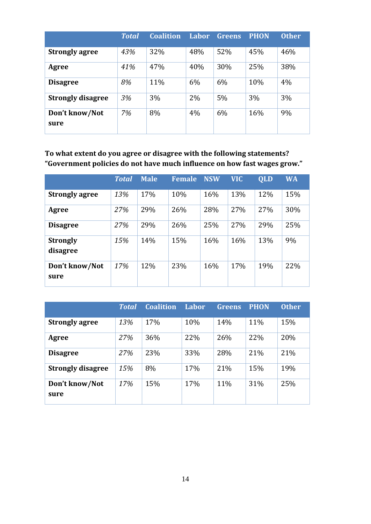|                          | <b>Total</b> | <b>Coalition</b> | Labor | <b>Greens</b> | <b>PHON</b> | <b>Other</b> |
|--------------------------|--------------|------------------|-------|---------------|-------------|--------------|
| <b>Strongly agree</b>    | 43%          | 32%              | 48%   | 52%           | 45%         | 46%          |
| Agree                    | 41%          | 47%              | 40%   | 30%           | 25%         | 38%          |
| <b>Disagree</b>          | 8%           | 11%              | 6%    | 6%            | 10%         | 4%           |
| <b>Strongly disagree</b> | 3%           | 3%               | 2%    | 5%            | 3%          | 3%           |
| Don't know/Not<br>sure   | 7%           | 8%               | 4%    | 6%            | 16%         | 9%           |

**To what extent do you agree or disagree with the following statements? "Government policies do not have much influence on how fast wages grow."**

|                             | <b>Total</b> | <b>Male</b> | <b>Female</b> | <b>NSW</b> | <b>VIC</b> | QLD | <b>WA</b> |
|-----------------------------|--------------|-------------|---------------|------------|------------|-----|-----------|
| <b>Strongly agree</b>       | 13%          | 17%         | 10%           | 16%        | 13%        | 12% | 15%       |
| Agree                       | 27%          | 29%         | 26%           | 28%        | 27%        | 27% | 30%       |
| <b>Disagree</b>             | 27%          | 29%         | 26%           | 25%        | 27%        | 29% | 25%       |
| <b>Strongly</b><br>disagree | 15%          | 14%         | 15%           | 16%        | 16%        | 13% | 9%        |
| Don't know/Not<br>sure      | 17%          | 12%         | 23%           | 16%        | 17%        | 19% | 22%       |

|                          | Total | <b>Coalition</b> | Labor | <b>Greens</b> | <b>PHON</b> | <b>Other</b> |
|--------------------------|-------|------------------|-------|---------------|-------------|--------------|
| <b>Strongly agree</b>    | 13%   | 17%              | 10%   | 14%           | 11%         | 15%          |
| Agree                    | 27%   | 36%              | 22%   | 26%           | 22%         | 20%          |
| <b>Disagree</b>          | 27%   | 23%              | 33%   | 28%           | 21%         | 21%          |
| <b>Strongly disagree</b> | 15%   | 8%               | 17%   | 21%           | 15%         | 19%          |
| Don't know/Not<br>sure   | 17%   | 15%              | 17%   | 11%           | 31%         | 25%          |